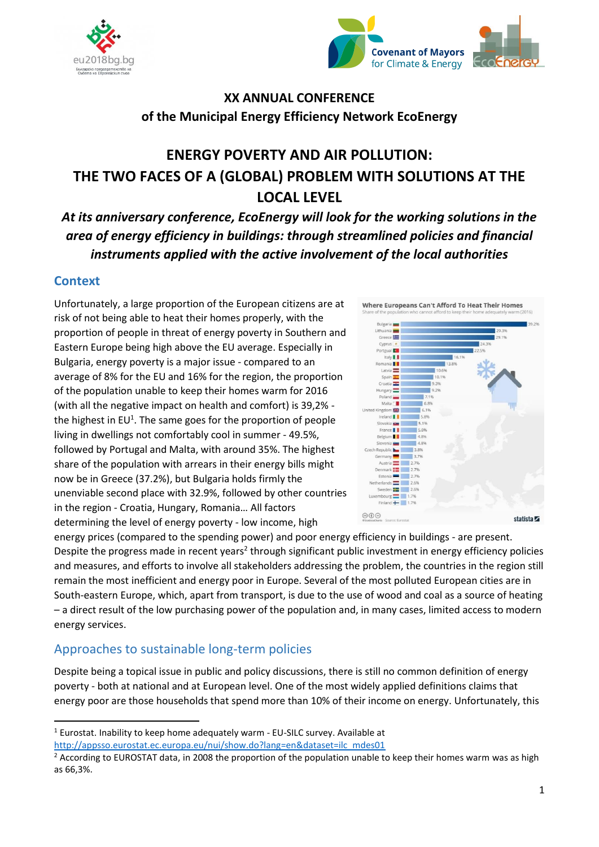



# **XX ANNUAL CONFERENCE of the Municipal Energy Efficiency Network EcoEnergy**

# **ENERGY POVERTY AND AIR POLLUTION: THE TWO FACES OF A (GLOBAL) PROBLEM WITH SOLUTIONS AT THE LOCAL LEVEL**

*At its anniversary conference, EcoEnergy will look for the working solutions in the area of energy efficiency in buildings: through streamlined policies and financial instruments applied with the active involvement of the local authorities*

### **Context**

 $\overline{a}$ 

Unfortunately, a large proportion of the European citizens are at risk of not being able to heat their homes properly, with the proportion of people in threat of energy poverty in Southern and Eastern Europe being high above the EU average. Especially in Bulgaria, energy poverty is a major issue - compared to an average of 8% for the EU and 16% for the region, the proportion of the population unable to keep their homes warm for 2016 (with all the negative impact on health and comfort) is 39,2% the highest in EU<sup>1</sup>. The same goes for the proportion of people living in dwellings not comfortably cool in summer - 49.5%, followed by Portugal and Malta, with around 35%. The highest share of the population with arrears in their energy bills might now be in Greece (37.2%), but Bulgaria holds firmly the unenviable second place with 32.9%, followed by other countries in the region - Croatia, Hungary, Romania… All factors determining the level of energy poverty - low income, high



energy prices (compared to the spending power) and poor energy efficiency in buildings - are present. Despite the progress made in recent years<sup>2</sup> through significant public investment in energy efficiency policies and measures, and efforts to involve all stakeholders addressing the problem, the countries in the region still remain the most inefficient and energy poor in Europe. Several of the most polluted European cities are in South-eastern Europe, which, apart from transport, is due to the use of wood and coal as a source of heating – a direct result of the low purchasing power of the population and, in many cases, limited access to modern energy services.

## Approaches to sustainable long-term policies

Despite being a topical issue in public and policy discussions, there is still no common definition of energy poverty - both at national and at European level. One of the most widely applied definitions claims that energy poor are those households that spend more than 10% of their income on energy. Unfortunately, this

<sup>1</sup> Eurostat. Inability to keep home adequately warm - EU-SILC survey. Available at [http://appsso.eurostat.ec.europa.eu/nui/show.do?lang=en&dataset=ilc\\_mdes01](http://appsso.eurostat.ec.europa.eu/nui/show.do?lang=en&dataset=ilc_mdes01)

<sup>&</sup>lt;sup>2</sup> According to EUROSTAT data, in 2008 the proportion of the population unable to keep their homes warm was as high as 66,3%.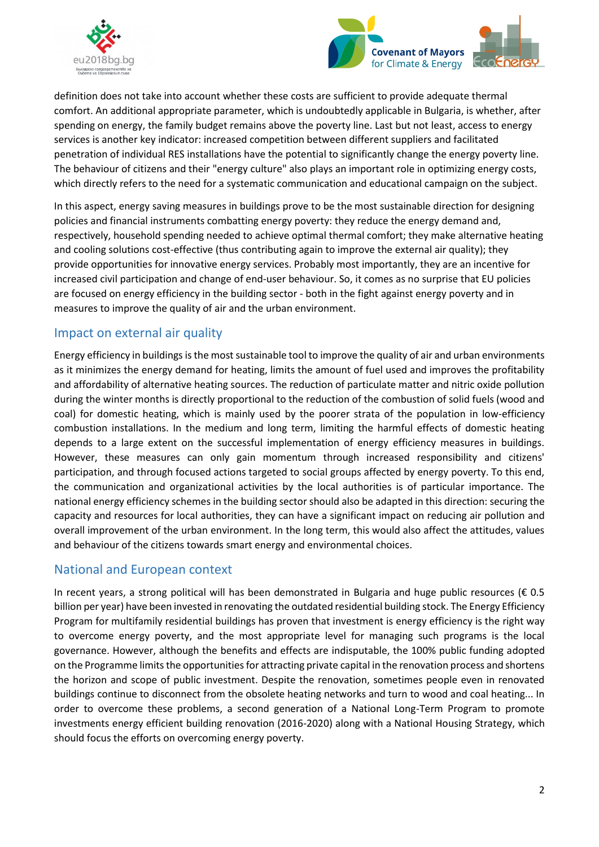



definition does not take into account whether these costs are sufficient to provide adequate thermal comfort. An additional appropriate parameter, which is undoubtedly applicable in Bulgaria, is whether, after spending on energy, the family budget remains above the poverty line. Last but not least, access to energy services is another key indicator: increased competition between different suppliers and facilitated penetration of individual RES installations have the potential to significantly change the energy poverty line. The behaviour of citizens and their "energy culture" also plays an important role in optimizing energy costs, which directly refers to the need for a systematic communication and educational campaign on the subject.

In this aspect, energy saving measures in buildings prove to be the most sustainable direction for designing policies and financial instruments combatting energy poverty: they reduce the energy demand and, respectively, household spending needed to achieve optimal thermal comfort; they make alternative heating and cooling solutions cost-effective (thus contributing again to improve the external air quality); they provide opportunities for innovative energy services. Probably most importantly, they are an incentive for increased civil participation and change of end-user behaviour. So, it comes as no surprise that EU policies are focused on energy efficiency in the building sector - both in the fight against energy poverty and in measures to improve the quality of air and the urban environment.

### Impact on external air quality

Energy efficiency in buildings is the most sustainable tool to improve the quality of air and urban environments as it minimizes the energy demand for heating, limits the amount of fuel used and improves the profitability and affordability of alternative heating sources. The reduction of particulate matter and nitric oxide pollution during the winter months is directly proportional to the reduction of the combustion of solid fuels (wood and coal) for domestic heating, which is mainly used by the poorer strata of the population in low-efficiency combustion installations. In the medium and long term, limiting the harmful effects of domestic heating depends to a large extent on the successful implementation of energy efficiency measures in buildings. However, these measures can only gain momentum through increased responsibility and citizens' participation, and through focused actions targeted to social groups affected by energy poverty. To this end, the communication and organizational activities by the local authorities is of particular importance. The national energy efficiency schemes in the building sector should also be adapted in this direction: securing the capacity and resources for local authorities, they can have a significant impact on reducing air pollution and overall improvement of the urban environment. In the long term, this would also affect the attitudes, values and behaviour of the citizens towards smart energy and environmental choices.

## National and European context

In recent years, a strong political will has been demonstrated in Bulgaria and huge public resources ( $\epsilon$  0.5 billion per year) have been invested in renovating the outdated residential building stock. The Energy Efficiency Program for multifamily residential buildings has proven that investment is energy efficiency is the right way to overcome energy poverty, and the most appropriate level for managing such programs is the local governance. However, although the benefits and effects are indisputable, the 100% public funding adopted on the Programme limits the opportunities for attracting private capital in the renovation process and shortens the horizon and scope of public investment. Despite the renovation, sometimes people even in renovated buildings continue to disconnect from the obsolete heating networks and turn to wood and coal heating... In order to overcome these problems, a second generation of a National Long-Term Program to promote investments energy efficient building renovation (2016-2020) along with a National Housing Strategy, which should focus the efforts on overcoming energy poverty.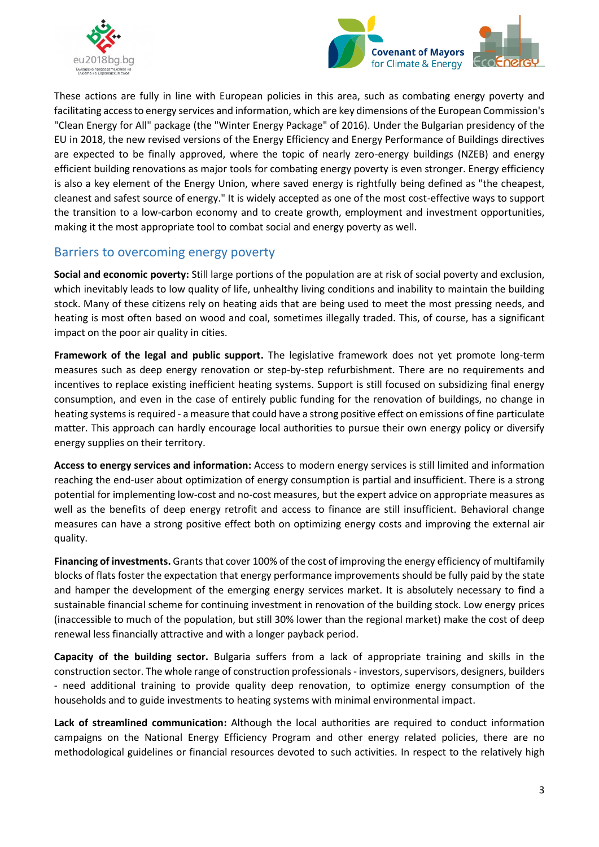



These actions are fully in line with European policies in this area, such as combating energy poverty and facilitating access to energy services and information, which are key dimensions of the European Commission's "Clean Energy for All" package (the "Winter Energy Package" of 2016). Under the Bulgarian presidency of the EU in 2018, the new revised versions of the Energy Efficiency and Energy Performance of Buildings directives are expected to be finally approved, where the topic of nearly zero-energy buildings (NZEB) and energy efficient building renovations as major tools for combating energy poverty is even stronger. Energy efficiency is also a key element of the Energy Union, where saved energy is rightfully being defined as "the cheapest, cleanest and safest source of energy." It is widely accepted as one of the most cost-effective ways to support the transition to a low-carbon economy and to create growth, employment and investment opportunities, making it the most appropriate tool to combat social and energy poverty as well.

### Barriers to overcoming energy poverty

**Social and economic poverty:** Still large portions of the population are at risk of social poverty and exclusion, which inevitably leads to low quality of life, unhealthy living conditions and inability to maintain the building stock. Many of these citizens rely on heating aids that are being used to meet the most pressing needs, and heating is most often based on wood and coal, sometimes illegally traded. This, of course, has a significant impact on the poor air quality in cities.

**Framework of the legal and public support.** The legislative framework does not yet promote long-term measures such as deep energy renovation or step-by-step refurbishment. There are no requirements and incentives to replace existing inefficient heating systems. Support is still focused on subsidizing final energy consumption, and even in the case of entirely public funding for the renovation of buildings, no change in heating systems is required - a measure that could have a strong positive effect on emissions of fine particulate matter. This approach can hardly encourage local authorities to pursue their own energy policy or diversify energy supplies on their territory.

**Access to energy services and information:** Access to modern energy services is still limited and information reaching the end-user about optimization of energy consumption is partial and insufficient. There is a strong potential for implementing low-cost and no-cost measures, but the expert advice on appropriate measures as well as the benefits of deep energy retrofit and access to finance are still insufficient. Behavioral change measures can have a strong positive effect both on optimizing energy costs and improving the external air quality.

**Financing of investments.** Grants that cover 100% of the cost of improving the energy efficiency of multifamily blocks of flats foster the expectation that energy performance improvements should be fully paid by the state and hamper the development of the emerging energy services market. It is absolutely necessary to find a sustainable financial scheme for continuing investment in renovation of the building stock. Low energy prices (inaccessible to much of the population, but still 30% lower than the regional market) make the cost of deep renewal less financially attractive and with a longer payback period.

**Capacity of the building sector.** Bulgaria suffers from a lack of appropriate training and skills in the construction sector. The whole range of construction professionals - investors, supervisors, designers, builders - need additional training to provide quality deep renovation, to optimize energy consumption of the households and to guide investments to heating systems with minimal environmental impact.

**Lack of streamlined communication:** Although the local authorities are required to conduct information campaigns on the National Energy Efficiency Program and other energy related policies, there are no methodological guidelines or financial resources devoted to such activities. In respect to the relatively high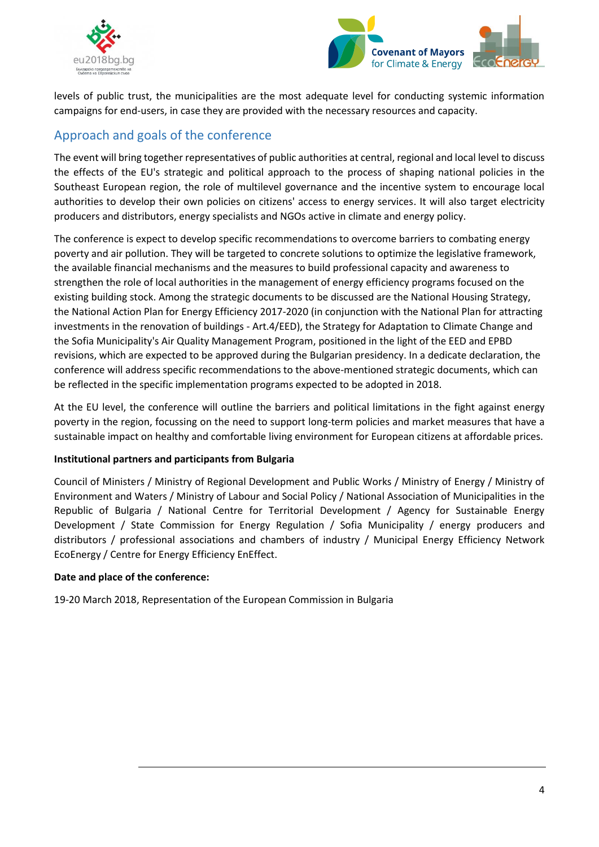



levels of public trust, the municipalities are the most adequate level for conducting systemic information campaigns for end-users, in case they are provided with the necessary resources and capacity.

# Approach and goals of the conference

The event will bring together representatives of public authorities at central, regional and local level to discuss the effects of the EU's strategic and political approach to the process of shaping national policies in the Southeast European region, the role of multilevel governance and the incentive system to encourage local authorities to develop their own policies on citizens' access to energy services. It will also target electricity producers and distributors, energy specialists and NGOs active in climate and energy policy.

The conference is expect to develop specific recommendations to overcome barriers to combating energy poverty and air pollution. They will be targeted to concrete solutions to optimize the legislative framework, the available financial mechanisms and the measures to build professional capacity and awareness to strengthen the role of local authorities in the management of energy efficiency programs focused on the existing building stock. Among the strategic documents to be discussed are the National Housing Strategy, the National Action Plan for Energy Efficiency 2017-2020 (in conjunction with the National Plan for attracting investments in the renovation of buildings - Art.4/EED), the Strategy for Adaptation to Climate Change and the Sofia Municipality's Air Quality Management Program, positioned in the light of the EED and EPBD revisions, which are expected to be approved during the Bulgarian presidency. In a dedicate declaration, the conference will address specific recommendations to the above-mentioned strategic documents, which can be reflected in the specific implementation programs expected to be adopted in 2018.

At the EU level, the conference will outline the barriers and political limitations in the fight against energy poverty in the region, focussing on the need to support long-term policies and market measures that have a sustainable impact on healthy and comfortable living environment for European citizens at affordable prices.

#### **Institutional partners and participants from Bulgaria**

Council of Ministers / Ministry of Regional Development and Public Works / Ministry of Energy / Ministry of Environment and Waters / Ministry of Labour and Social Policy / National Association of Municipalities in the Republic of Bulgaria / National Centre for Territorial Development / Agency for Sustainable Energy Development / State Commission for Energy Regulation / Sofia Municipality / energy producers and distributors / professional associations and chambers of industry / Municipal Energy Efficiency Network EcoEnergy / Centre for Energy Efficiency EnEffect.

#### **Date and place of the conference:**

19-20 March 2018, Representation of the European Commission in Bulgaria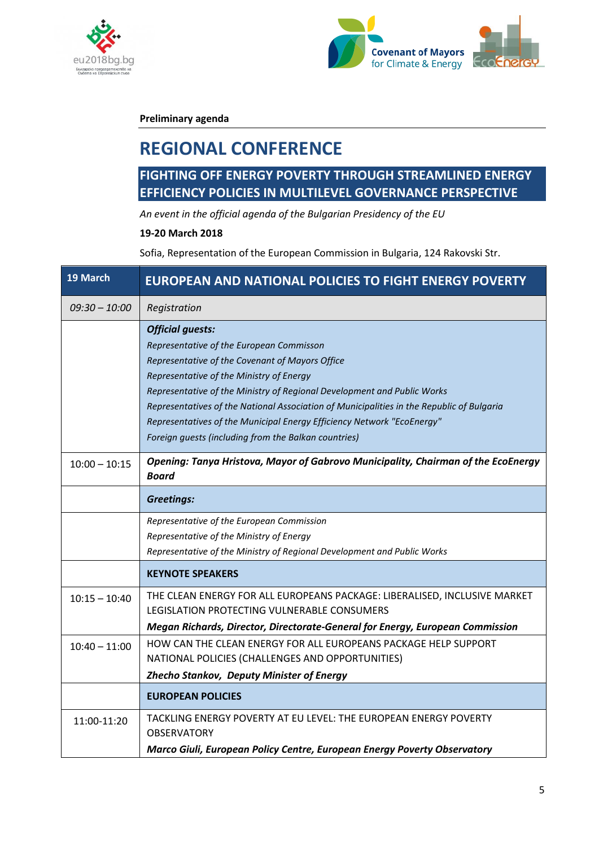



**Preliminary agenda**

# **REGIONAL CONFERENCE**

# **FIGHTING OFF ENERGY POVERTY THROUGH STREAMLINED ENERGY EFFICIENCY POLICIES IN MULTILEVEL GOVERNANCE PERSPECTIVE**

*An event in the official agenda of the Bulgarian Presidency of the EU*

#### **19-20 March 2018**

Sofia, Representation of the European Commission in Bulgaria, 124 Rakovski Str.

| 19 March        | <b>EUROPEAN AND NATIONAL POLICIES TO FIGHT ENERGY POVERTY</b>                                                                                                                                                                                                                                                                                                                                                                                                                |
|-----------------|------------------------------------------------------------------------------------------------------------------------------------------------------------------------------------------------------------------------------------------------------------------------------------------------------------------------------------------------------------------------------------------------------------------------------------------------------------------------------|
| $09:30 - 10:00$ | Registration                                                                                                                                                                                                                                                                                                                                                                                                                                                                 |
|                 | <b>Official guests:</b><br>Representative of the European Commisson<br>Representative of the Covenant of Mayors Office<br>Representative of the Ministry of Energy<br>Representative of the Ministry of Regional Development and Public Works<br>Representatives of the National Association of Municipalities in the Republic of Bulgaria<br>Representatives of the Municipal Energy Efficiency Network "EcoEnergy"<br>Foreign guests (including from the Balkan countries) |
| $10:00 - 10:15$ | Opening: Tanya Hristova, Mayor of Gabrovo Municipality, Chairman of the EcoEnergy<br><b>Board</b>                                                                                                                                                                                                                                                                                                                                                                            |
|                 | <b>Greetings:</b>                                                                                                                                                                                                                                                                                                                                                                                                                                                            |
|                 | Representative of the European Commission<br>Representative of the Ministry of Energy<br>Representative of the Ministry of Regional Development and Public Works                                                                                                                                                                                                                                                                                                             |
|                 | <b>KEYNOTE SPEAKERS</b>                                                                                                                                                                                                                                                                                                                                                                                                                                                      |
| $10:15 - 10:40$ | THE CLEAN ENERGY FOR ALL EUROPEANS PACKAGE: LIBERALISED, INCLUSIVE MARKET<br>LEGISLATION PROTECTING VULNERABLE CONSUMERS                                                                                                                                                                                                                                                                                                                                                     |
|                 | Megan Richards, Director, Directorate-General for Energy, European Commission                                                                                                                                                                                                                                                                                                                                                                                                |
| $10:40 - 11:00$ | HOW CAN THE CLEAN ENERGY FOR ALL EUROPEANS PACKAGE HELP SUPPORT<br>NATIONAL POLICIES (CHALLENGES AND OPPORTUNITIES)                                                                                                                                                                                                                                                                                                                                                          |
|                 | Zhecho Stankov, Deputy Minister of Energy                                                                                                                                                                                                                                                                                                                                                                                                                                    |
|                 | <b>EUROPEAN POLICIES</b>                                                                                                                                                                                                                                                                                                                                                                                                                                                     |
| 11:00-11:20     | TACKLING ENERGY POVERTY AT EU LEVEL: THE EUROPEAN ENERGY POVERTY<br><b>OBSERVATORY</b>                                                                                                                                                                                                                                                                                                                                                                                       |
|                 | Marco Giuli, European Policy Centre, European Energy Poverty Observatory                                                                                                                                                                                                                                                                                                                                                                                                     |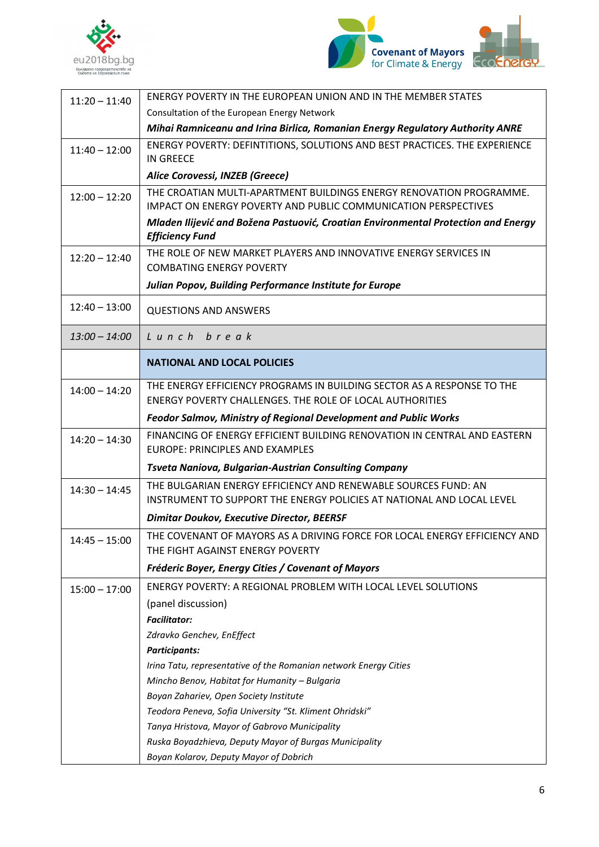



| $11:20 - 11:40$ | ENERGY POVERTY IN THE EUROPEAN UNION AND IN THE MEMBER STATES                                                                                |
|-----------------|----------------------------------------------------------------------------------------------------------------------------------------------|
|                 | Consultation of the European Energy Network                                                                                                  |
|                 | Mihai Ramniceanu and Irina Birlica, Romanian Energy Regulatory Authority ANRE                                                                |
| $11:40 - 12:00$ | ENERGY POVERTY: DEFINTITIONS, SOLUTIONS AND BEST PRACTICES. THE EXPERIENCE<br><b>IN GREECE</b>                                               |
|                 | Alice Corovessi, INZEB (Greece)                                                                                                              |
| $12:00 - 12:20$ | THE CROATIAN MULTI-APARTMENT BUILDINGS ENERGY RENOVATION PROGRAMME.<br><b>IMPACT ON ENERGY POVERTY AND PUBLIC COMMUNICATION PERSPECTIVES</b> |
|                 | Mladen Ilijević and Božena Pastuović, Croatian Environmental Protection and Energy<br><b>Efficiency Fund</b>                                 |
| $12:20 - 12:40$ | THE ROLE OF NEW MARKET PLAYERS AND INNOVATIVE ENERGY SERVICES IN<br><b>COMBATING ENERGY POVERTY</b>                                          |
|                 | Julian Popov, Building Performance Institute for Europe                                                                                      |
| $12:40 - 13:00$ | <b>QUESTIONS AND ANSWERS</b>                                                                                                                 |
| $13:00 - 14:00$ | Lunch break                                                                                                                                  |
|                 | <b>NATIONAL AND LOCAL POLICIES</b>                                                                                                           |
| $14:00 - 14:20$ | THE ENERGY EFFICIENCY PROGRAMS IN BUILDING SECTOR AS A RESPONSE TO THE                                                                       |
|                 | ENERGY POVERTY CHALLENGES. THE ROLE OF LOCAL AUTHORITIES                                                                                     |
|                 | Feodor Salmov, Ministry of Regional Development and Public Works                                                                             |
| $14:20 - 14:30$ | FINANCING OF ENERGY EFFICIENT BUILDING RENOVATION IN CENTRAL AND EASTERN<br>EUROPE: PRINCIPLES AND EXAMPLES                                  |
|                 | Tsveta Naniova, Bulgarian-Austrian Consulting Company                                                                                        |
| $14:30 - 14:45$ | THE BULGARIAN ENERGY EFFICIENCY AND RENEWABLE SOURCES FUND: AN                                                                               |
|                 | INSTRUMENT TO SUPPORT THE ENERGY POLICIES AT NATIONAL AND LOCAL LEVEL                                                                        |
|                 | <b>Dimitar Doukov, Executive Director, BEERSF</b>                                                                                            |
| $14:45 - 15:00$ | THE COVENANT OF MAYORS AS A DRIVING FORCE FOR LOCAL ENERGY EFFICIENCY AND<br>THE FIGHT AGAINST ENERGY POVERTY                                |
|                 | Fréderic Boyer, Energy Cities / Covenant of Mayors                                                                                           |
| $15:00 - 17:00$ | ENERGY POVERTY: A REGIONAL PROBLEM WITH LOCAL LEVEL SOLUTIONS                                                                                |
|                 | (panel discussion)                                                                                                                           |
|                 | <b>Facilitator:</b>                                                                                                                          |
|                 | Zdravko Genchev, EnEffect                                                                                                                    |
|                 | <b>Participants:</b>                                                                                                                         |
|                 | Irina Tatu, representative of the Romanian network Energy Cities                                                                             |
|                 | Mincho Benov, Habitat for Humanity - Bulgaria                                                                                                |
|                 | Boyan Zahariev, Open Society Institute                                                                                                       |
|                 | Teodora Peneva, Sofia University "St. Kliment Ohridski"                                                                                      |
|                 | Tanya Hristova, Mayor of Gabrovo Municipality                                                                                                |
|                 | Ruska Boyadzhieva, Deputy Mayor of Burgas Municipality                                                                                       |
|                 | Boyan Kolarov, Deputy Mayor of Dobrich                                                                                                       |